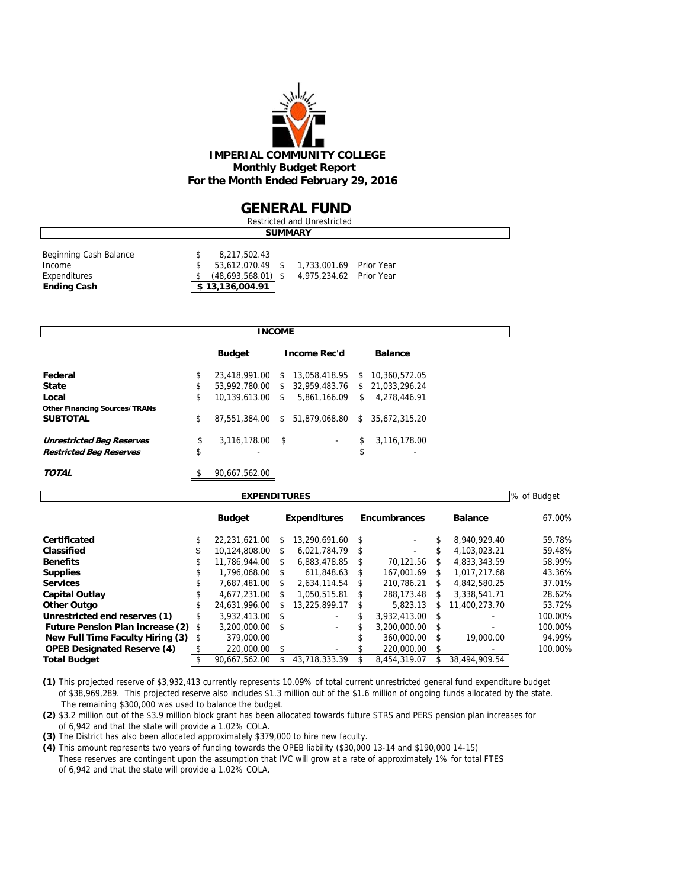

#### **GENERAL FUND**

| <b>Restricted and Unrestricted</b>                                     |  |                                                                             |  |                                                    |  |  |  |  |  |  |
|------------------------------------------------------------------------|--|-----------------------------------------------------------------------------|--|----------------------------------------------------|--|--|--|--|--|--|
| <b>SUMMARY</b>                                                         |  |                                                                             |  |                                                    |  |  |  |  |  |  |
| Beginning Cash Balance<br>Income<br>Expenditures<br><b>Ending Cash</b> |  | 8,217,502.43<br>53.612.070.49 \$<br>$(48,693,568.01)$ \$<br>\$13,136,004.91 |  | 1,733,001.69 Prior Year<br>4,975,234.62 Prior Year |  |  |  |  |  |  |

|                                      | <b>INCOME</b>           |    |                     |    |                 |
|--------------------------------------|-------------------------|----|---------------------|----|-----------------|
|                                      | <b>Budget</b>           |    | <b>Income Rec'd</b> |    | <b>Balance</b>  |
| Federal                              | \$<br>23,418,991.00     | \$ | 13,058,418.95       | s. | 10,360,572.05   |
| <b>State</b>                         | \$<br>53,992,780.00     |    | \$ 32,959,483.76    |    | \$21.033.296.24 |
| Local                                | \$<br>10.139.613.00     | S. | 5.861.166.09        | \$ | 4.278.446.91    |
| <b>Other Financing Sources/TRANs</b> |                         |    |                     |    |                 |
| <b>SUBTOTAL</b>                      | \$<br>87.551.384.00     |    | \$51,879,068.80     | S. | 35.672.315.20   |
| <b>Unrestricted Beg Reserves</b>     | \$<br>$3,116,178.00$ \$ |    | ٠                   | \$ | 3,116,178.00    |
| <b>Restricted Beg Reserves</b>       | \$                      |    |                     | \$ | ۰               |
| <b>TOTAL</b>                         | \$<br>90.667.562.00     |    |                     |    |                 |

| <b>EXPENDITURES</b>                     |               |               |      |                     |      |                     |               |                |         |  |  |  |
|-----------------------------------------|---------------|---------------|------|---------------------|------|---------------------|---------------|----------------|---------|--|--|--|
|                                         | <b>Budget</b> |               |      | <b>Expenditures</b> |      | <b>Encumbrances</b> |               | <b>Balance</b> | 67.00%  |  |  |  |
| Certificated                            | ъ             | 22.231.621.00 | \$.  | 13.290.691.60       | \$   | ۰                   | \$.           | 8.940.929.40   | 59.78%  |  |  |  |
| Classified                              | \$            | 10.124.808.00 | \$   | 6.021.784.79        | - \$ | ۰                   | \$.           | 4.103.023.21   | 59.48%  |  |  |  |
| <b>Benefits</b>                         | \$            | 11.786.944.00 | S    | 6.883.478.85        | S    | 70.121.56           | S             | 4.833.343.59   | 58.99%  |  |  |  |
| <b>Supplies</b>                         | \$            | 1.796.068.00  | S    | 611.848.63          | S    | 167.001.69          | S.            | 1.017.217.68   | 43.36%  |  |  |  |
| <b>Services</b>                         |               | 7.687.481.00  | \$   | 2.634.114.54        | \$   | 210.786.21          | S.            | 4.842.580.25   | 37.01%  |  |  |  |
| <b>Capital Outlay</b>                   |               | 4,677,231.00  | \$   | 1.050.515.81        | \$.  | 288.173.48          | \$            | 3,338,541.71   | 28.62%  |  |  |  |
| <b>Other Outgo</b>                      | \$            | 24.631.996.00 | S    | 13.225.899.17       | S    | 5.823.13            | S             | 11,400,273.70  | 53.72%  |  |  |  |
| Unrestricted end reserves (1)           |               | 3.932.413.00  | -\$  |                     | \$.  | 3.932.413.00        | - \$          |                | 100.00% |  |  |  |
| <b>Future Pension Plan increase (2)</b> | \$            | 3.200.000.00  | - \$ | ٠                   | S    | 3.200.000.00        | - \$          |                | 100.00% |  |  |  |
| New Full Time Faculty Hiring (3)        | \$            | 379,000.00    |      |                     | \$.  | 360,000.00          | <sup>\$</sup> | 19,000.00      | 94.99%  |  |  |  |
| <b>OPEB Designated Reserve (4)</b>      |               | 220,000.00    | \$   |                     |      | 220,000.00          | \$            |                | 100.00% |  |  |  |
| <b>Total Budget</b>                     |               | 90.667.562.00 |      | 43.718.333.39       | \$.  | 8.454.319.07        |               | 38,494,909.54  |         |  |  |  |

**(1)** This projected reserve of \$3,932,413 currently represents 10.09% of total current unrestricted general fund expenditure budget of \$38,969,289. This projected reserve also includes \$1.3 million out of the \$1.6 million of ongoing funds allocated by the state. The remaining \$300,000 was used to balance the budget.

**(2)** \$3.2 million out of the \$3.9 million block grant has been allocated towards future STRS and PERS pension plan increases for of 6,942 and that the state will provide a 1.02% COLA.

**(3)** The District has also been allocated approximately \$379,000 to hire new faculty.

**(4)** This amount represents two years of funding towards the OPEB liability (\$30,000 13-14 and \$190,000 14-15) These reserves are contingent upon the assumption that IVC will grow at a rate of approximately 1% for total FTES of 6,942 and that the state will provide a 1.02% COLA.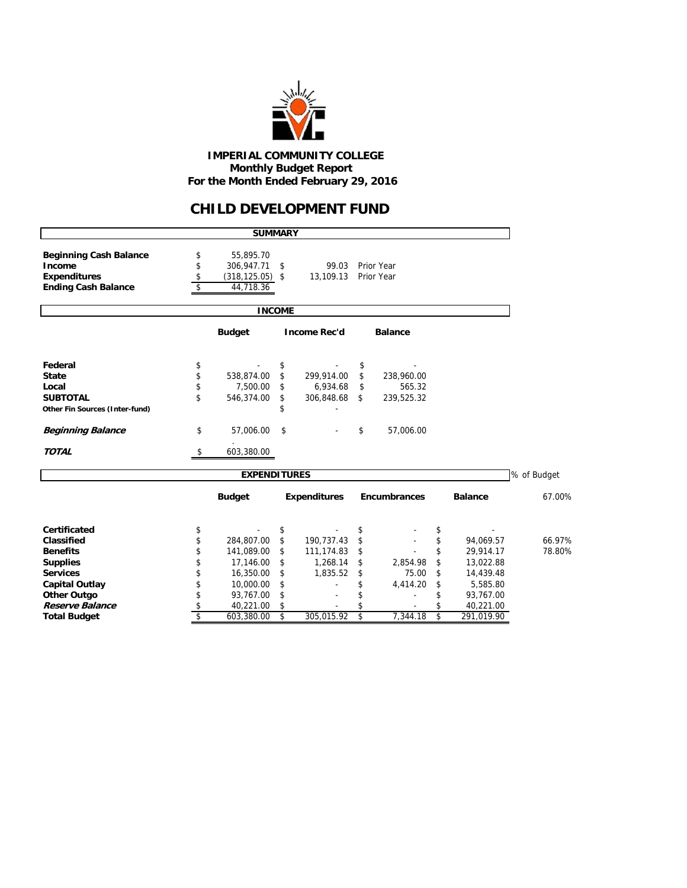

### **CHILD DEVELOPMENT FUND**

|                                | <b>SUMMARY</b>           |                     |                     |    |                |             |
|--------------------------------|--------------------------|---------------------|---------------------|----|----------------|-------------|
| <b>Beginning Cash Balance</b>  | \$<br>55,895.70          |                     |                     |    |                |             |
| Income                         | \$<br>306,947.71         | \$<br>99.03         | Prior Year          |    |                |             |
| <b>Expenditures</b>            | \$<br>$(318, 125.05)$ \$ | 13,109.13           | <b>Prior Year</b>   |    |                |             |
| <b>Ending Cash Balance</b>     | \$<br>44,718.36          |                     |                     |    |                |             |
|                                | <b>INCOME</b>            |                     |                     |    |                |             |
|                                | <b>Budget</b>            | <b>Income Rec'd</b> | <b>Balance</b>      |    |                |             |
| Federal                        | \$                       | \$                  | \$                  |    |                |             |
| <b>State</b>                   | \$<br>538,874.00         | \$<br>299,914.00    | \$<br>238,960.00    |    |                |             |
| Local                          | \$<br>7,500.00           | \$<br>6,934.68      | \$<br>565.32        |    |                |             |
| <b>SUBTOTAL</b>                | \$<br>546,374.00         | \$<br>306,848.68    | \$<br>239,525.32    |    |                |             |
| Other Fin Sources (Inter-fund) |                          | \$                  |                     |    |                |             |
| <b>Beginning Balance</b>       | \$<br>57,006.00          | \$                  | \$<br>57,006.00     |    |                |             |
| <b>TOTAL</b>                   | \$<br>603,380.00         |                     |                     |    |                |             |
|                                | <b>EXPENDITURES</b>      |                     |                     |    |                | % of Budget |
|                                | <b>Budget</b>            | <b>Expenditures</b> | <b>Encumbrances</b> |    | <b>Balance</b> | 67.00%      |
| <b>Certificated</b>            | \$                       | \$                  | \$                  | \$ |                |             |
| Classified                     | \$<br>284,807.00         | \$<br>190,737.43    | \$                  | \$ | 94,069.57      | 66.97%      |
| <b>Benefits</b>                | \$<br>141,089.00         | \$<br>111,174.83    | \$                  | \$ | 29,914.17      | 78.80%      |
| <b>Supplies</b>                | \$<br>17,146.00          | \$<br>1,268.14      | \$<br>2,854.98      | \$ | 13,022.88      |             |
| <b>Services</b>                | \$<br>16,350.00          | \$<br>1,835.52      | \$<br>75.00         | \$ | 14,439.48      |             |
| <b>Capital Outlay</b>          | \$<br>10,000.00          | \$                  | \$<br>4,414.20      | \$ | 5,585.80       |             |
| <b>Other Outgo</b>             | \$<br>93,767.00          | \$                  | \$                  | \$ | 93,767.00      |             |
| Reserve Balance                | \$<br>40,221.00          | \$                  |                     | \$ | 40,221.00      |             |
| <b>Total Budget</b>            | \$<br>603,380.00         | \$<br>305,015.92    | \$<br>7,344.18      | \$ | 291,019.90     |             |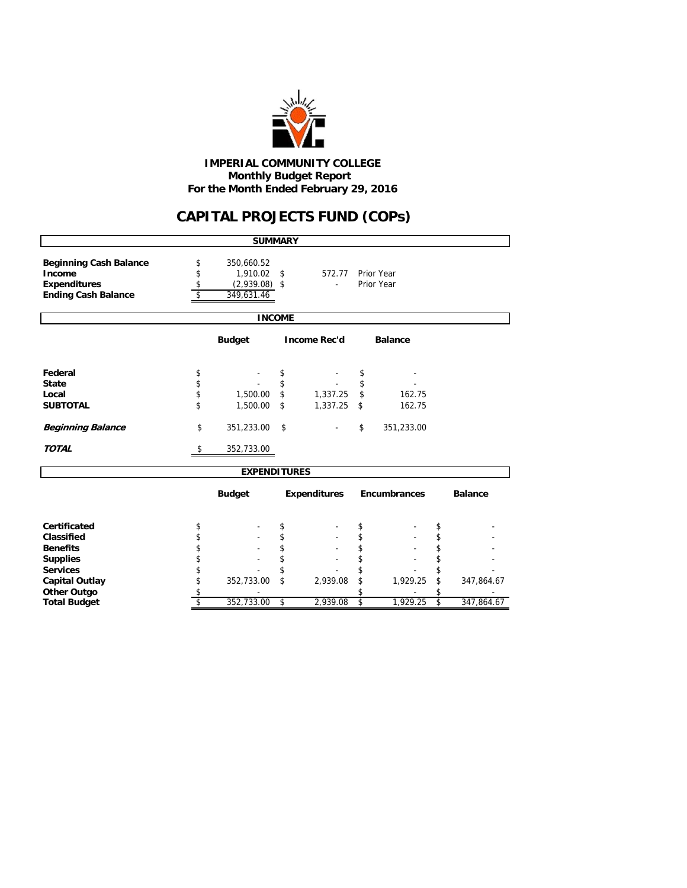

# **CAPITAL PROJECTS FUND (COPs)**

|                                                                |                | <b>SUMMARY</b>                               |    |                          |               |                          |    |                |  |  |  |
|----------------------------------------------------------------|----------------|----------------------------------------------|----|--------------------------|---------------|--------------------------|----|----------------|--|--|--|
| <b>Beginning Cash Balance</b><br>Income<br><b>Expenditures</b> | \$<br>\$<br>\$ | 350,660.52<br>1,910.02 \$<br>$(2,939.08)$ \$ |    | 572.77<br>$\blacksquare$ |               | Prior Year<br>Prior Year |    |                |  |  |  |
| <b>Ending Cash Balance</b>                                     | \$             | 349,631.46                                   |    |                          |               |                          |    |                |  |  |  |
| <b>INCOME</b>                                                  |                |                                              |    |                          |               |                          |    |                |  |  |  |
| <b>Budget</b><br><b>Income Rec'd</b><br><b>Balance</b>         |                |                                              |    |                          |               |                          |    |                |  |  |  |
| Federal                                                        | \$             |                                              | \$ |                          | \$            |                          |    |                |  |  |  |
| <b>State</b>                                                   | \$             |                                              | \$ |                          | \$            |                          |    |                |  |  |  |
| Local                                                          | \$             | 1,500.00                                     | \$ | 1,337.25                 | $\mathsf{\$}$ | 162.75                   |    |                |  |  |  |
| <b>SUBTOTAL</b>                                                | \$             | 1,500.00                                     | \$ | 1,337.25                 | \$            | 162.75                   |    |                |  |  |  |
| <b>Beginning Balance</b>                                       | \$             | 351,233.00                                   | \$ |                          | \$            | 351,233.00               |    |                |  |  |  |
| <b>TOTAL</b>                                                   | \$             | 352,733.00                                   |    |                          |               |                          |    |                |  |  |  |
|                                                                |                | <b>EXPENDITURES</b>                          |    |                          |               |                          |    |                |  |  |  |
|                                                                |                | <b>Budget</b>                                |    | <b>Expenditures</b>      |               | Encumbrances             |    | <b>Balance</b> |  |  |  |
| <b>Certificated</b>                                            | \$             |                                              | \$ |                          | \$            |                          | \$ |                |  |  |  |
| Classified                                                     | \$             |                                              | \$ |                          | \$            |                          | \$ |                |  |  |  |
| <b>Benefits</b>                                                | \$             |                                              | \$ |                          | \$            |                          | \$ |                |  |  |  |
| <b>Supplies</b>                                                | \$             |                                              | \$ |                          | \$            |                          | \$ |                |  |  |  |
| <b>Services</b>                                                | \$             |                                              | \$ |                          | \$            |                          | \$ |                |  |  |  |
| <b>Capital Outlay</b>                                          | \$             | 352,733.00                                   | \$ | 2,939.08                 | \$            | 1,929.25                 | \$ | 347,864.67     |  |  |  |
| <b>Other Outgo</b>                                             | \$             |                                              |    |                          | \$            |                          | \$ |                |  |  |  |
| <b>Total Budget</b>                                            | \$             | 352,733.00                                   | \$ | 2,939.08                 | \$            | 1,929.25                 | \$ | 347,864.67     |  |  |  |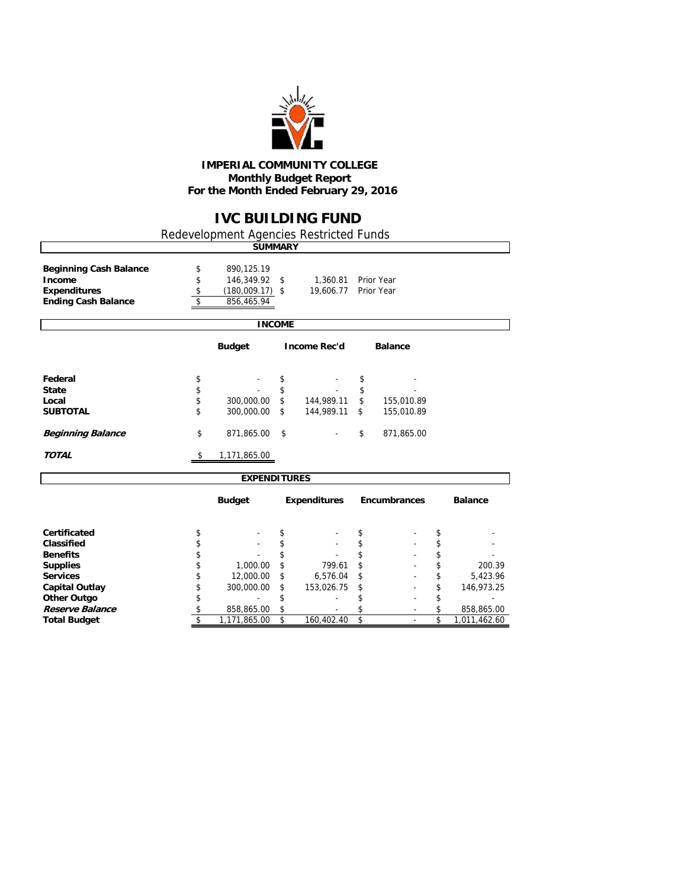

## **IVC BUILDING FUND**

Redevelopment Agencies Restricted Funds

|                                         |          | <b>SUMMARY</b>              |               |                          |                    |                |                  |
|-----------------------------------------|----------|-----------------------------|---------------|--------------------------|--------------------|----------------|------------------|
| <b>Beginning Cash Balance</b><br>Income | \$<br>\$ | 890,125.19<br>146,349.92 \$ |               | 1,360.81                 |                    | Prior Year     |                  |
| <b>Expenditures</b>                     | \$       | $(180,009.17)$ \$           |               | 19,606.77                |                    | Prior Year     |                  |
| <b>Ending Cash Balance</b>              | \$       | 856,465.94                  |               |                          |                    |                |                  |
|                                         |          |                             | <b>INCOME</b> |                          |                    |                |                  |
|                                         |          | <b>Budget</b>               |               | <b>Income Rec'd</b>      |                    | <b>Balance</b> |                  |
| Federal                                 | \$       |                             | \$            |                          | \$                 |                |                  |
| <b>State</b>                            | \$       |                             | \$            |                          | \$                 |                |                  |
| Local                                   | \$       | 300,000.00                  | \$            | 144,989.11               | $\mathbf{\hat{z}}$ | 155,010.89     |                  |
| <b>SUBTOTAL</b>                         | \$       | 300,000.00                  | \$            | 144,989.11               | \$                 | 155,010.89     |                  |
| <b>Beginning Balance</b>                | \$       | 871,865.00                  | \$            |                          | \$                 | 871,865.00     |                  |
| <b>TOTAL</b>                            | \$       | 1,171,865.00                |               |                          |                    |                |                  |
|                                         |          | <b>EXPENDITURES</b>         |               |                          |                    |                |                  |
|                                         |          | <b>Budget</b>               |               | <b>Expenditures</b>      |                    | Encumbrances   | <b>Balance</b>   |
| Certificated                            | \$       |                             | \$            |                          | \$                 |                | \$               |
| Classified                              | \$       |                             | \$            |                          | \$                 |                | \$               |
| <b>Benefits</b>                         | \$       |                             | \$            |                          | \$                 |                | \$               |
| <b>Supplies</b>                         | \$       | 1,000.00                    | \$            | 799.61                   | \$                 |                | \$<br>200.39     |
| <b>Services</b>                         | \$       | 12,000.00                   | \$            | 6,576.04                 | \$                 |                | \$<br>5,423.96   |
| <b>Capital Outlay</b>                   | \$       | 300,000.00                  | \$            | 153,026.75               | \$                 |                | \$<br>146,973.25 |
| <b>Other Outgo</b>                      | \$       |                             | \$            | $\overline{\phantom{a}}$ | \$                 |                | \$               |

**Reserve Balance**  $\begin{array}{cccccccccccc}\n\text{$} & \text{$} & \text{$} & \text{$} & \text{$} & \text{$} & \text{$} & \text{$} & \text{$} & \text{$} & \text{$} & \text{$} & \text{$} & \text{$} & \text{$} & \text{$} & \text{$} & \text{$} & \text{$} & \text{$} & \text{$} & \text{$} & \text{$} & \text{$} & \text{$} & \text{$} & \text{$} & \text{$} & \text{$} & \text{$} & \text{$} & \text{$} & \$ 

**Total Budgett \$ 160,402.40 \$** - \$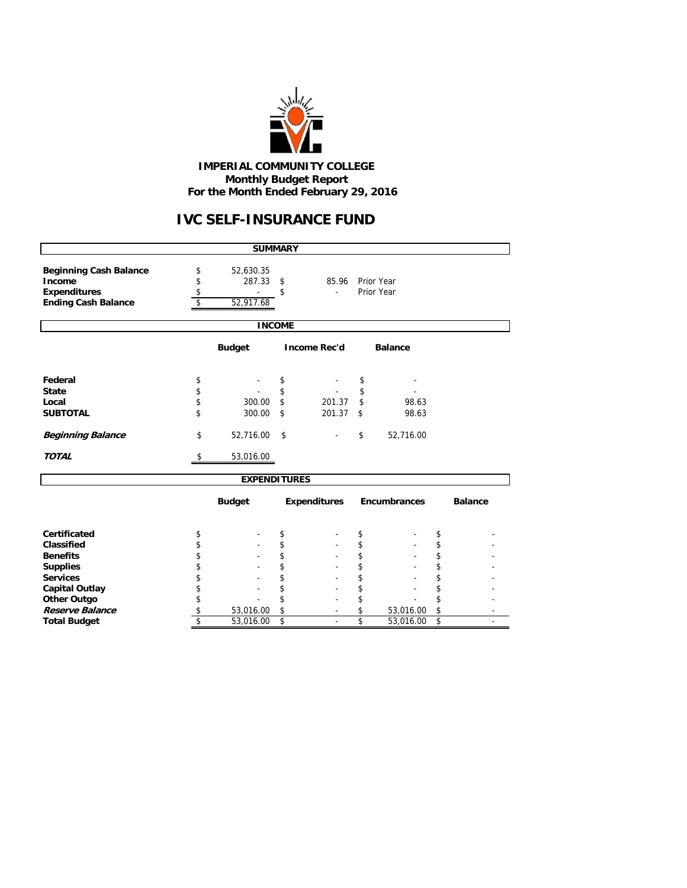

# **IVC SELF-INSURANCE FUND**

|                                                                                              |                | <b>SUMMARY</b>                   |               |                     |          |                          |          |                |  |  |  |
|----------------------------------------------------------------------------------------------|----------------|----------------------------------|---------------|---------------------|----------|--------------------------|----------|----------------|--|--|--|
| <b>Beginning Cash Balance</b><br>Income<br><b>Expenditures</b><br><b>Ending Cash Balance</b> | \$<br>\$<br>\$ | 52,630.35<br>287.33<br>52,917.68 | \$<br>\$      | 85.96               |          | Prior Year<br>Prior Year |          |                |  |  |  |
|                                                                                              |                |                                  | <b>INCOME</b> |                     |          |                          |          |                |  |  |  |
| <b>Budget</b><br><b>Income Rec'd</b><br><b>Balance</b>                                       |                |                                  |               |                     |          |                          |          |                |  |  |  |
| Federal<br><b>State</b>                                                                      | \$<br>\$       |                                  | \$<br>\$      |                     | \$<br>\$ |                          |          |                |  |  |  |
| Local<br><b>SUBTOTAL</b>                                                                     | \$<br>\$       | 300.00<br>300.00                 | \$<br>\$      | 201.37<br>201.37    | \$<br>\$ | 98.63<br>98.63           |          |                |  |  |  |
| <b>Beginning Balance</b>                                                                     | \$             | 52,716.00                        | \$            |                     | \$       | 52,716.00                |          |                |  |  |  |
| <b>TOTAL</b>                                                                                 | \$             | 53,016.00                        |               |                     |          |                          |          |                |  |  |  |
|                                                                                              |                | <b>EXPENDITURES</b>              |               |                     |          |                          |          |                |  |  |  |
|                                                                                              |                | <b>Budget</b>                    |               | <b>Expenditures</b> |          | <b>Encumbrances</b>      |          | <b>Balance</b> |  |  |  |
| Certificated                                                                                 | \$             |                                  | \$            |                     | \$       |                          | \$       |                |  |  |  |
| Classified                                                                                   | \$             |                                  | \$            |                     | \$       |                          | \$       |                |  |  |  |
| <b>Benefits</b><br><b>Supplies</b>                                                           | \$<br>\$       |                                  | \$<br>\$      |                     | \$<br>\$ |                          | \$<br>\$ |                |  |  |  |
| <b>Services</b>                                                                              | \$             |                                  | \$            |                     | \$       |                          | \$       |                |  |  |  |
| <b>Capital Outlay</b>                                                                        | \$             |                                  | \$            |                     | \$       |                          | \$       |                |  |  |  |
| <b>Other Outgo</b>                                                                           | \$             |                                  | \$            |                     | \$       |                          | \$       |                |  |  |  |
| Reserve Balance                                                                              | \$             | 53,016.00                        | \$            |                     | \$       | 53,016.00                | \$       |                |  |  |  |
| <b>Total Budget</b>                                                                          | \$             | 53,016.00                        | \$            |                     | \$       | 53,016.00                | \$       |                |  |  |  |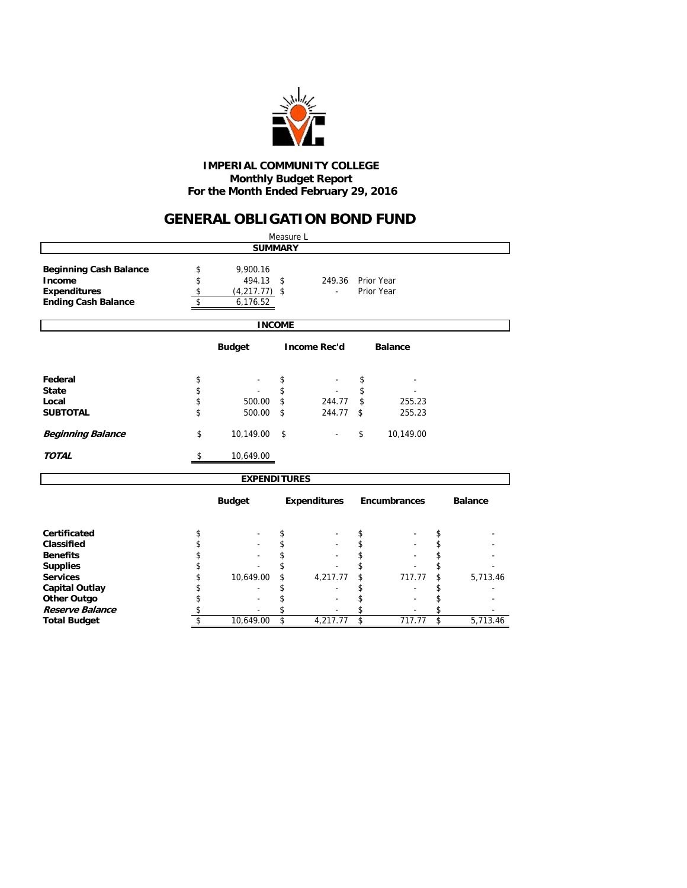

### **GENERAL OBLIGATION BOND FUND**

|                                                                                              |                      |                                                   |    | Measure L           |    |                          |    |                |  |  |  |
|----------------------------------------------------------------------------------------------|----------------------|---------------------------------------------------|----|---------------------|----|--------------------------|----|----------------|--|--|--|
| <b>SUMMARY</b>                                                                               |                      |                                                   |    |                     |    |                          |    |                |  |  |  |
| <b>Beginning Cash Balance</b><br>Income<br><b>Expenditures</b><br><b>Ending Cash Balance</b> | \$<br>\$<br>\$<br>\$ | 9,900.16<br>494.13<br>$(4,217.77)$ \$<br>6,176.52 | \$ | 249.36<br>÷.        |    | Prior Year<br>Prior Year |    |                |  |  |  |
| <b>INCOME</b>                                                                                |                      |                                                   |    |                     |    |                          |    |                |  |  |  |
| <b>Budget</b><br><b>Income Rec'd</b><br><b>Balance</b>                                       |                      |                                                   |    |                     |    |                          |    |                |  |  |  |
| Federal                                                                                      | \$                   |                                                   | \$ |                     | \$ |                          |    |                |  |  |  |
| <b>State</b>                                                                                 | \$                   |                                                   | \$ |                     | \$ |                          |    |                |  |  |  |
| Local                                                                                        | \$                   | 500.00                                            | \$ | 244.77              | \$ | 255.23                   |    |                |  |  |  |
| <b>SUBTOTAL</b>                                                                              | \$                   | 500.00                                            | \$ | 244.77              | \$ | 255.23                   |    |                |  |  |  |
| <b>Beginning Balance</b>                                                                     | \$                   | 10,149.00                                         | \$ |                     | \$ | 10,149.00                |    |                |  |  |  |
| <b>TOTAL</b>                                                                                 | \$                   | 10,649.00                                         |    |                     |    |                          |    |                |  |  |  |
|                                                                                              |                      | <b>EXPENDITURES</b>                               |    |                     |    |                          |    |                |  |  |  |
|                                                                                              |                      | <b>Budget</b>                                     |    | <b>Expenditures</b> |    | <b>Encumbrances</b>      |    | <b>Balance</b> |  |  |  |
| Certificated                                                                                 | \$                   |                                                   | \$ |                     | \$ |                          | \$ |                |  |  |  |
| Classified                                                                                   | \$                   |                                                   | \$ |                     | \$ |                          | \$ |                |  |  |  |
| <b>Benefits</b>                                                                              | \$                   |                                                   | \$ |                     | \$ |                          | \$ |                |  |  |  |
| <b>Supplies</b>                                                                              | \$                   |                                                   |    |                     | \$ |                          | \$ |                |  |  |  |
| <b>Services</b>                                                                              | \$                   | 10,649.00                                         | \$ | 4,217.77            | \$ | 717.77                   | \$ | 5,713.46       |  |  |  |
| <b>Capital Outlay</b>                                                                        | \$                   |                                                   |    |                     | \$ |                          | \$ |                |  |  |  |
| <b>Other Outgo</b>                                                                           | \$                   |                                                   | \$ |                     | \$ |                          | \$ |                |  |  |  |
| Reserve Balance                                                                              | \$                   |                                                   | \$ |                     | \$ |                          | \$ |                |  |  |  |
| <b>Total Budget</b>                                                                          | \$                   | 10,649.00                                         | \$ | 4,217.77            | \$ | 717.77                   | \$ | 5,713.46       |  |  |  |